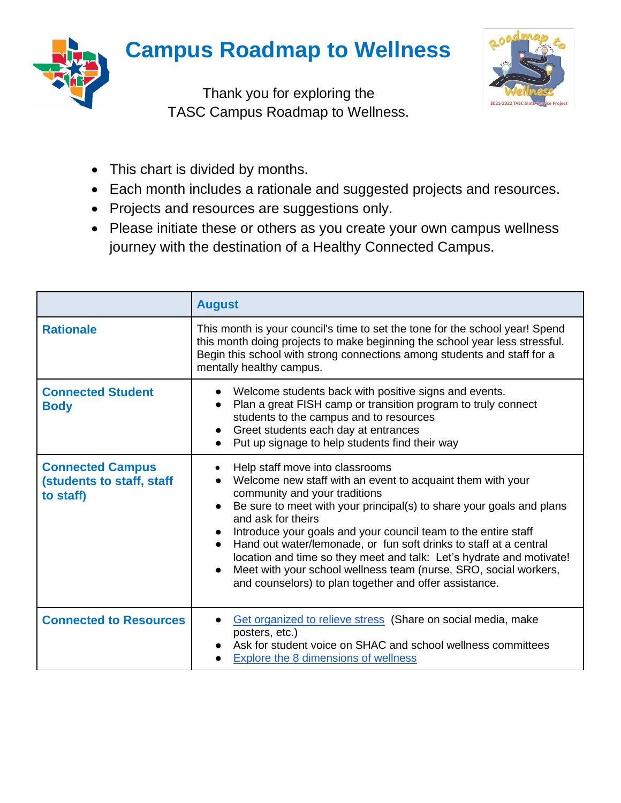## **Campus Roadmap to Wellness**



Thank you for exploring the TASC Campus Roadmap to Wellness.



- This chart is divided by months.
- Each month includes a rationale and suggested projects and resources.
- Projects and resources are suggestions only.
- Please initiate these or others as you create your own campus wellness journey with the destination of a Healthy Connected Campus.

|                                                                   | <b>August</b>                                                                                                                                                                                                                                                                                                                                                                                                                                                                                                                                                             |
|-------------------------------------------------------------------|---------------------------------------------------------------------------------------------------------------------------------------------------------------------------------------------------------------------------------------------------------------------------------------------------------------------------------------------------------------------------------------------------------------------------------------------------------------------------------------------------------------------------------------------------------------------------|
| <b>Rationale</b>                                                  | This month is your council's time to set the tone for the school year! Spend<br>this month doing projects to make beginning the school year less stressful.<br>Begin this school with strong connections among students and staff for a<br>mentally healthy campus.                                                                                                                                                                                                                                                                                                       |
| <b>Connected Student</b><br><b>Body</b>                           | Welcome students back with positive signs and events.<br>Plan a great FISH camp or transition program to truly connect<br>students to the campus and to resources<br>Greet students each day at entrances<br>Put up signage to help students find their way                                                                                                                                                                                                                                                                                                               |
| <b>Connected Campus</b><br>(students to staff, staff<br>to staff) | Help staff move into classrooms<br>Welcome new staff with an event to acquaint them with your<br>community and your traditions<br>Be sure to meet with your principal(s) to share your goals and plans<br>and ask for theirs<br>Introduce your goals and your council team to the entire staff<br>Hand out water/lemonade, or fun soft drinks to staff at a central<br>location and time so they meet and talk: Let's hydrate and motivate!<br>Meet with your school wellness team (nurse, SRO, social workers,<br>and counselors) to plan together and offer assistance. |
| <b>Connected to Resources</b>                                     | Get organized to relieve stress (Share on social media, make<br>posters, etc.)<br>Ask for student voice on SHAC and school wellness committees<br><b>Explore the 8 dimensions of wellness</b>                                                                                                                                                                                                                                                                                                                                                                             |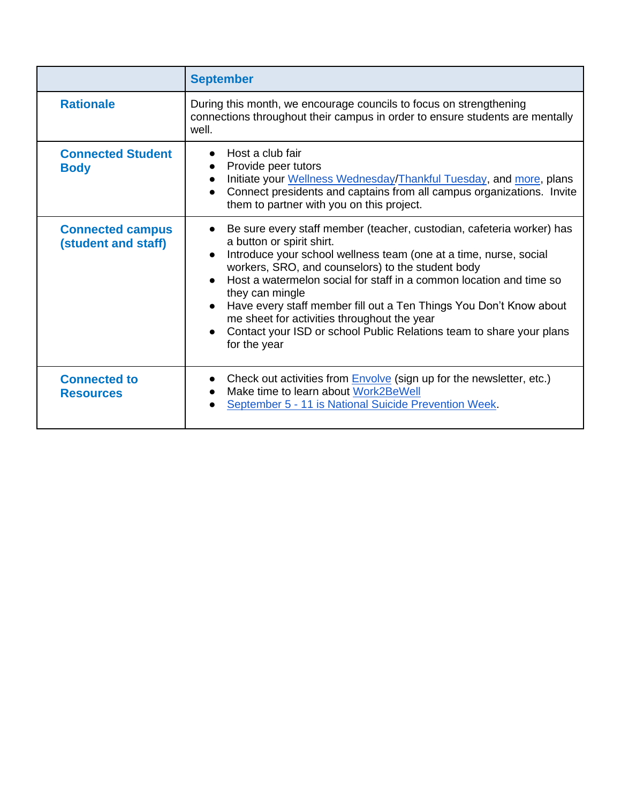|                                                | <b>September</b>                                                                                                                                                                                                                                                                                                                                                                                                                                                                                                                    |
|------------------------------------------------|-------------------------------------------------------------------------------------------------------------------------------------------------------------------------------------------------------------------------------------------------------------------------------------------------------------------------------------------------------------------------------------------------------------------------------------------------------------------------------------------------------------------------------------|
| <b>Rationale</b>                               | During this month, we encourage councils to focus on strengthening<br>connections throughout their campus in order to ensure students are mentally<br>well.                                                                                                                                                                                                                                                                                                                                                                         |
| <b>Connected Student</b><br><b>Body</b>        | Host a club fair<br>Provide peer tutors<br>Initiate your Wellness Wednesday/Thankful Tuesday, and more, plans<br>Connect presidents and captains from all campus organizations. Invite<br>them to partner with you on this project.                                                                                                                                                                                                                                                                                                 |
| <b>Connected campus</b><br>(student and staff) | Be sure every staff member (teacher, custodian, cafeteria worker) has<br>a button or spirit shirt.<br>Introduce your school wellness team (one at a time, nurse, social<br>workers, SRO, and counselors) to the student body<br>Host a watermelon social for staff in a common location and time so<br>they can mingle<br>Have every staff member fill out a Ten Things You Don't Know about<br>me sheet for activities throughout the year<br>Contact your ISD or school Public Relations team to share your plans<br>for the year |
| <b>Connected to</b><br><b>Resources</b>        | Check out activities from <b>Envolve</b> (sign up for the newsletter, etc.)<br>Make time to learn about Work2BeWell<br>September 5 - 11 is National Suicide Prevention Week.                                                                                                                                                                                                                                                                                                                                                        |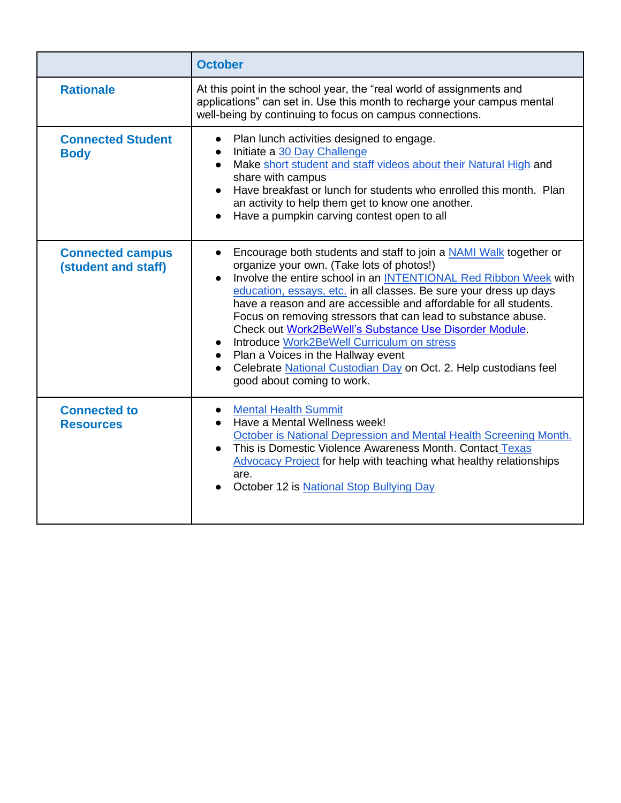|                                                | <b>October</b>                                                                                                                                                                                                                                                                                                                                                                                                                                                                                                                                                                                                                                                           |
|------------------------------------------------|--------------------------------------------------------------------------------------------------------------------------------------------------------------------------------------------------------------------------------------------------------------------------------------------------------------------------------------------------------------------------------------------------------------------------------------------------------------------------------------------------------------------------------------------------------------------------------------------------------------------------------------------------------------------------|
| <b>Rationale</b>                               | At this point in the school year, the "real world of assignments and<br>applications" can set in. Use this month to recharge your campus mental<br>well-being by continuing to focus on campus connections.                                                                                                                                                                                                                                                                                                                                                                                                                                                              |
| <b>Connected Student</b><br><b>Body</b>        | Plan lunch activities designed to engage.<br>$\bullet$<br>Initiate a 30 Day Challenge<br>Make short student and staff videos about their Natural High and<br>$\bullet$<br>share with campus<br>Have breakfast or lunch for students who enrolled this month. Plan<br>an activity to help them get to know one another.<br>Have a pumpkin carving contest open to all                                                                                                                                                                                                                                                                                                     |
| <b>Connected campus</b><br>(student and staff) | Encourage both students and staff to join a NAMI Walk together or<br>$\bullet$<br>organize your own. (Take lots of photos!)<br>Involve the entire school in an INTENTIONAL Red Ribbon Week with<br>$\bullet$<br>education, essays, etc. in all classes. Be sure your dress up days<br>have a reason and are accessible and affordable for all students.<br>Focus on removing stressors that can lead to substance abuse.<br>Check out Work2BeWell's Substance Use Disorder Module.<br>Introduce Work2BeWell Curriculum on stress<br>Plan a Voices in the Hallway event<br>Celebrate National Custodian Day on Oct. 2. Help custodians feel<br>good about coming to work. |
| <b>Connected to</b><br><b>Resources</b>        | • Mental Health Summit<br>Have a Mental Wellness week!<br>October is National Depression and Mental Health Screening Month.<br>This is Domestic Violence Awareness Month. Contact Texas<br>$\bullet$<br><b>Advocacy Project for help with teaching what healthy relationships</b><br>are.<br>October 12 is National Stop Bullying Day                                                                                                                                                                                                                                                                                                                                    |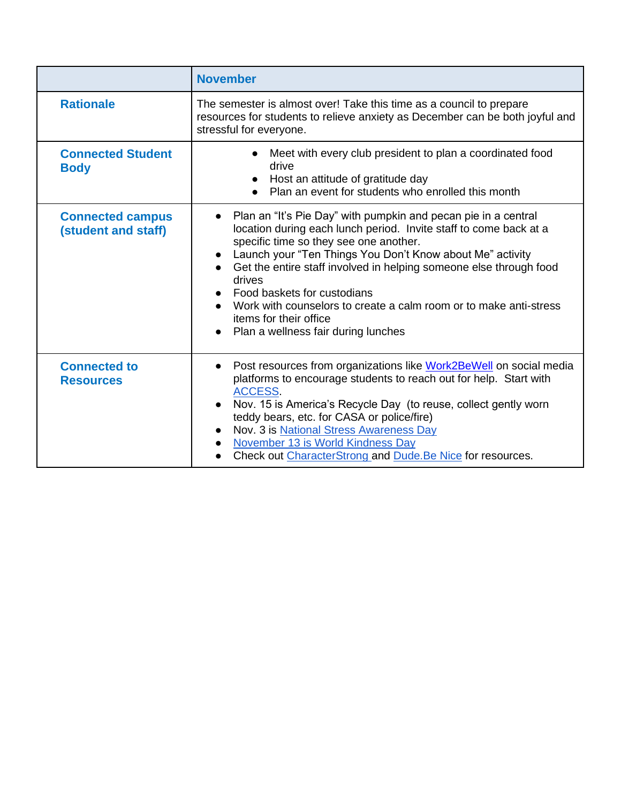|                                                | <b>November</b>                                                                                                                                                                                                                                                                                                                                                                                                                                                                                              |
|------------------------------------------------|--------------------------------------------------------------------------------------------------------------------------------------------------------------------------------------------------------------------------------------------------------------------------------------------------------------------------------------------------------------------------------------------------------------------------------------------------------------------------------------------------------------|
| <b>Rationale</b>                               | The semester is almost over! Take this time as a council to prepare<br>resources for students to relieve anxiety as December can be both joyful and<br>stressful for everyone.                                                                                                                                                                                                                                                                                                                               |
| <b>Connected Student</b><br><b>Body</b>        | Meet with every club president to plan a coordinated food<br>drive<br>Host an attitude of gratitude day<br>Plan an event for students who enrolled this month                                                                                                                                                                                                                                                                                                                                                |
| <b>Connected campus</b><br>(student and staff) | Plan an "It's Pie Day" with pumpkin and pecan pie in a central<br>$\bullet$<br>location during each lunch period. Invite staff to come back at a<br>specific time so they see one another.<br>Launch your "Ten Things You Don't Know about Me" activity<br>Get the entire staff involved in helping someone else through food<br>drives<br>Food baskets for custodians<br>Work with counselors to create a calm room or to make anti-stress<br>items for their office<br>Plan a wellness fair during lunches |
| <b>Connected to</b><br><b>Resources</b>        | Post resources from organizations like Work2BeWell on social media<br>$\bullet$<br>platforms to encourage students to reach out for help. Start with<br>ACCESS.<br>Nov. 15 is America's Recycle Day (to reuse, collect gently worn<br>teddy bears, etc. for CASA or police/fire)<br>Nov. 3 is National Stress Awareness Day<br>November 13 is World Kindness Day<br>Check out CharacterStrong and Dude. Be Nice for resources.                                                                               |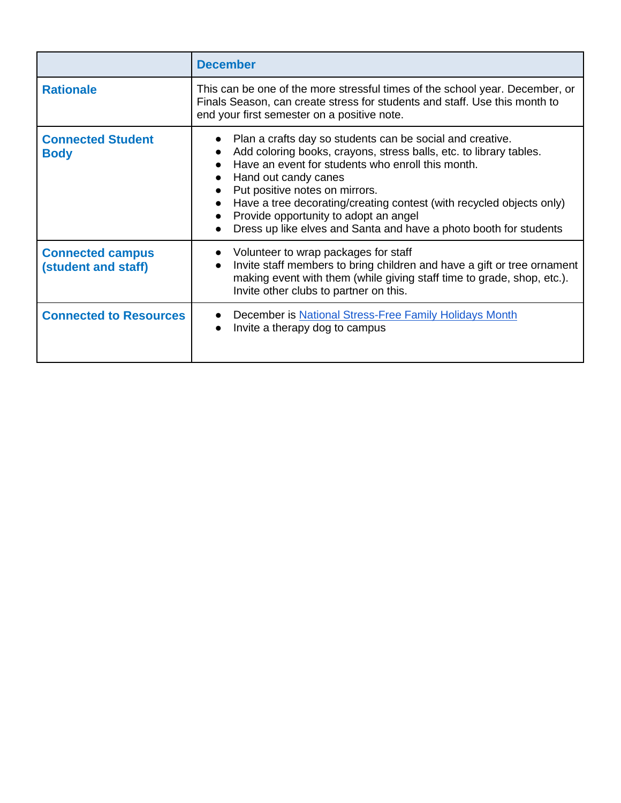|                                                | <b>December</b>                                                                                                                                                                                                                                                                                                                                                                                                                      |
|------------------------------------------------|--------------------------------------------------------------------------------------------------------------------------------------------------------------------------------------------------------------------------------------------------------------------------------------------------------------------------------------------------------------------------------------------------------------------------------------|
| <b>Rationale</b>                               | This can be one of the more stressful times of the school year. December, or<br>Finals Season, can create stress for students and staff. Use this month to<br>end your first semester on a positive note.                                                                                                                                                                                                                            |
| <b>Connected Student</b><br><b>Body</b>        | Plan a crafts day so students can be social and creative.<br>Add coloring books, crayons, stress balls, etc. to library tables.<br>Have an event for students who enroll this month.<br>Hand out candy canes<br>Put positive notes on mirrors.<br>Have a tree decorating/creating contest (with recycled objects only)<br>Provide opportunity to adopt an angel<br>Dress up like elves and Santa and have a photo booth for students |
| <b>Connected campus</b><br>(student and staff) | Volunteer to wrap packages for staff<br>Invite staff members to bring children and have a gift or tree ornament<br>making event with them (while giving staff time to grade, shop, etc.).<br>Invite other clubs to partner on this.                                                                                                                                                                                                  |
| <b>Connected to Resources</b>                  | December is National Stress-Free Family Holidays Month<br>Invite a therapy dog to campus                                                                                                                                                                                                                                                                                                                                             |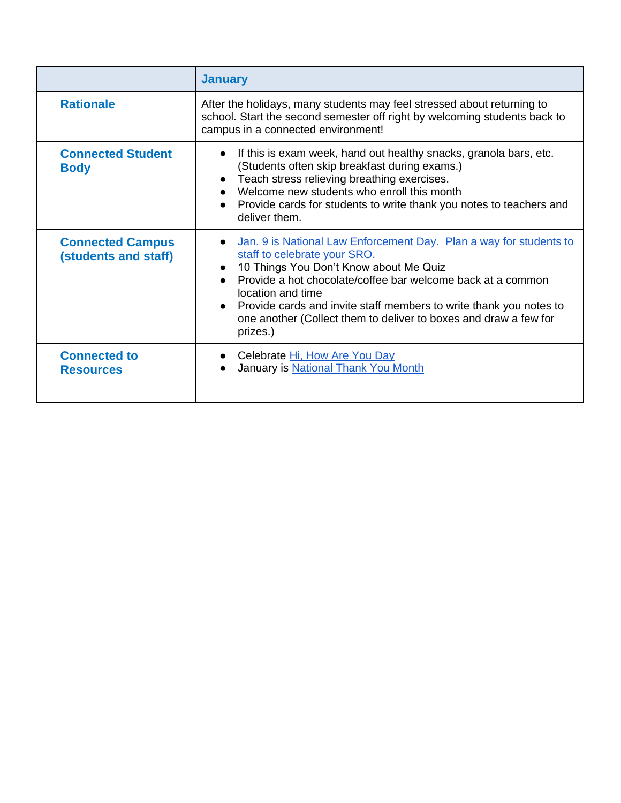|                                                 | <b>January</b>                                                                                                                                                                                                                                                                                                                                                                                        |
|-------------------------------------------------|-------------------------------------------------------------------------------------------------------------------------------------------------------------------------------------------------------------------------------------------------------------------------------------------------------------------------------------------------------------------------------------------------------|
| <b>Rationale</b>                                | After the holidays, many students may feel stressed about returning to<br>school. Start the second semester off right by welcoming students back to<br>campus in a connected environment!                                                                                                                                                                                                             |
| <b>Connected Student</b><br><b>Body</b>         | If this is exam week, hand out healthy snacks, granola bars, etc.<br>$\bullet$<br>(Students often skip breakfast during exams.)<br>Teach stress relieving breathing exercises.<br>$\bullet$<br>Welcome new students who enroll this month<br>$\bullet$<br>Provide cards for students to write thank you notes to teachers and<br>deliver them.                                                        |
| <b>Connected Campus</b><br>(students and staff) | Jan. 9 is National Law Enforcement Day. Plan a way for students to<br>staff to celebrate your SRO.<br>10 Things You Don't Know about Me Quiz<br>$\bullet$<br>Provide a hot chocolate/coffee bar welcome back at a common<br>location and time<br>• Provide cards and invite staff members to write thank you notes to<br>one another (Collect them to deliver to boxes and draw a few for<br>prizes.) |
| <b>Connected to</b><br><b>Resources</b>         | Celebrate Hi, How Are You Day<br>January is National Thank You Month                                                                                                                                                                                                                                                                                                                                  |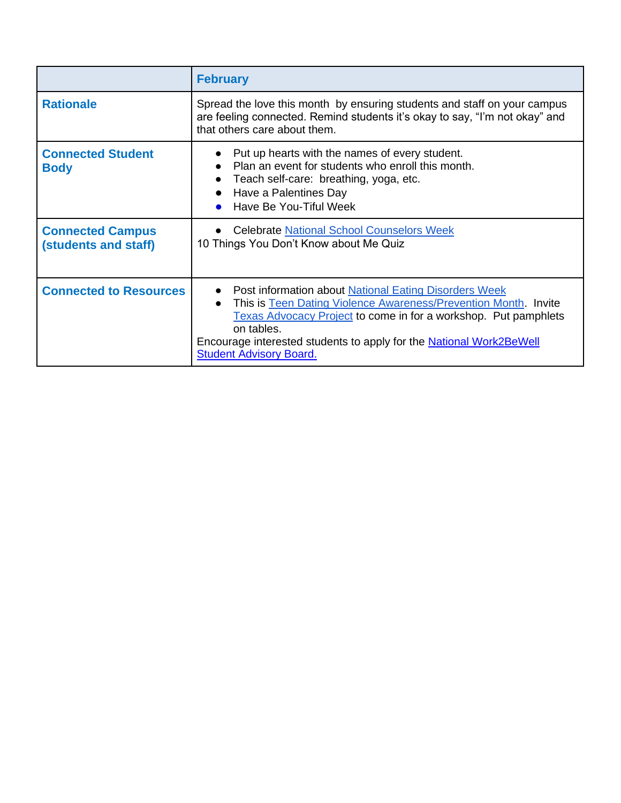|                                                 | <b>February</b>                                                                                                                                                                                                                                                                                                             |
|-------------------------------------------------|-----------------------------------------------------------------------------------------------------------------------------------------------------------------------------------------------------------------------------------------------------------------------------------------------------------------------------|
| <b>Rationale</b>                                | Spread the love this month by ensuring students and staff on your campus<br>are feeling connected. Remind students it's okay to say, "I'm not okay" and<br>that others care about them.                                                                                                                                     |
| <b>Connected Student</b><br><b>Body</b>         | Put up hearts with the names of every student.<br>Plan an event for students who enroll this month.<br>Teach self-care: breathing, yoga, etc.<br>Have a Palentines Day<br>Have Be You-Tiful Week                                                                                                                            |
| <b>Connected Campus</b><br>(students and staff) | • Celebrate National School Counselors Week<br>10 Things You Don't Know about Me Quiz                                                                                                                                                                                                                                       |
| <b>Connected to Resources</b>                   | • Post information about National Eating Disorders Week<br>This is Teen Dating Violence Awareness/Prevention Month. Invite<br>Texas Advocacy Project to come in for a workshop. Put pamphlets<br>on tables.<br>Encourage interested students to apply for the <b>National Work2BeWell</b><br><b>Student Advisory Board.</b> |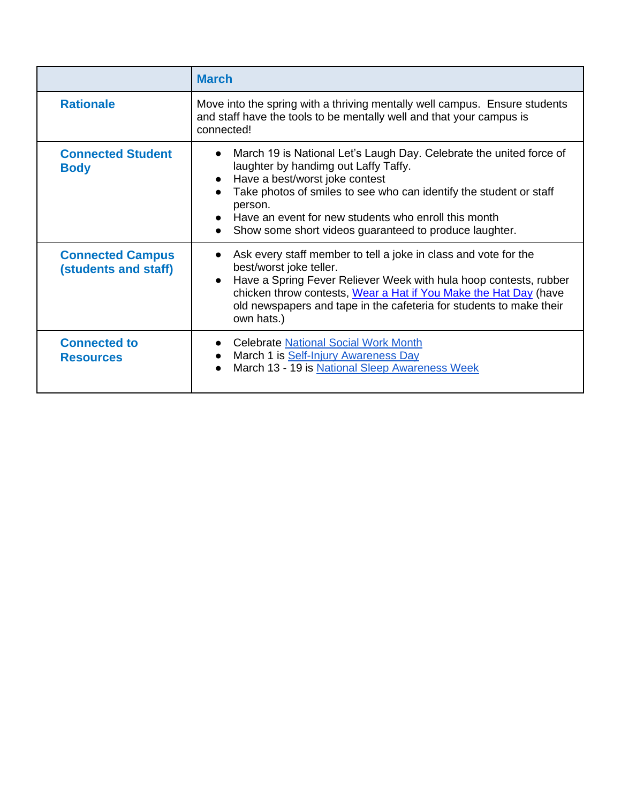|                                                 | <b>March</b>                                                                                                                                                                                                                                                                                                                                     |
|-------------------------------------------------|--------------------------------------------------------------------------------------------------------------------------------------------------------------------------------------------------------------------------------------------------------------------------------------------------------------------------------------------------|
| <b>Rationale</b>                                | Move into the spring with a thriving mentally well campus. Ensure students<br>and staff have the tools to be mentally well and that your campus is<br>connected!                                                                                                                                                                                 |
| <b>Connected Student</b><br><b>Body</b>         | March 19 is National Let's Laugh Day. Celebrate the united force of<br>laughter by handimg out Laffy Taffy.<br>Have a best/worst joke contest<br>Take photos of smiles to see who can identify the student or staff<br>person.<br>Have an event for new students who enroll this month<br>Show some short videos guaranteed to produce laughter. |
| <b>Connected Campus</b><br>(students and staff) | Ask every staff member to tell a joke in class and vote for the<br>best/worst joke teller.<br>Have a Spring Fever Reliever Week with hula hoop contests, rubber<br>chicken throw contests, Wear a Hat if You Make the Hat Day (have<br>old newspapers and tape in the cafeteria for students to make their<br>own hats.)                         |
| <b>Connected to</b><br><b>Resources</b>         | <b>Celebrate National Social Work Month</b><br>March 1 is Self-Injury Awareness Day<br>March 13 - 19 is National Sleep Awareness Week                                                                                                                                                                                                            |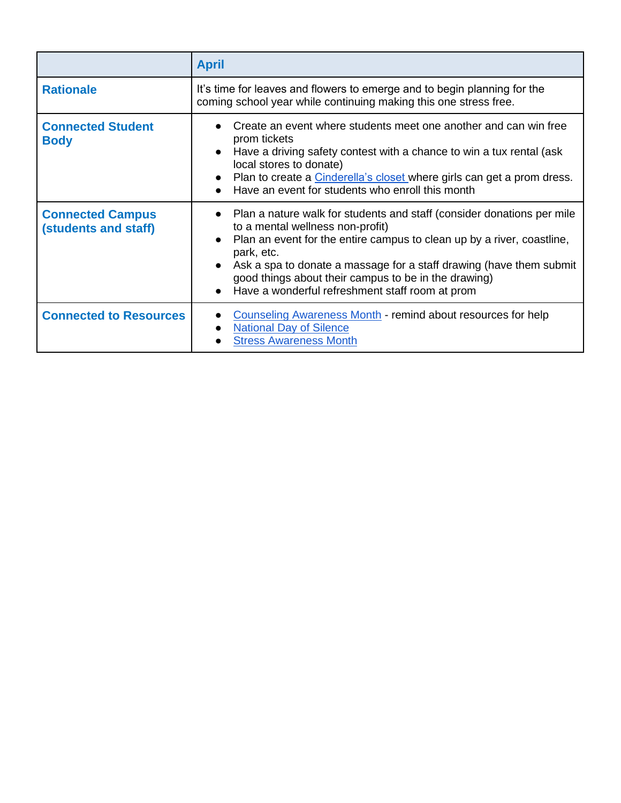|                                                 | <b>April</b>                                                                                                                                                                                                                                                                                                                                                                                      |
|-------------------------------------------------|---------------------------------------------------------------------------------------------------------------------------------------------------------------------------------------------------------------------------------------------------------------------------------------------------------------------------------------------------------------------------------------------------|
| <b>Rationale</b>                                | It's time for leaves and flowers to emerge and to begin planning for the<br>coming school year while continuing making this one stress free.                                                                                                                                                                                                                                                      |
| <b>Connected Student</b><br><b>Body</b>         | Create an event where students meet one another and can win free<br>prom tickets<br>Have a driving safety contest with a chance to win a tux rental (ask<br>local stores to donate)<br>Plan to create a Cinderella's closet where girls can get a prom dress.<br>Have an event for students who enroll this month                                                                                 |
| <b>Connected Campus</b><br>(students and staff) | Plan a nature walk for students and staff (consider donations per mile<br>$\bullet$<br>to a mental wellness non-profit)<br>Plan an event for the entire campus to clean up by a river, coastline,<br>park, etc.<br>Ask a spa to donate a massage for a staff drawing (have them submit<br>good things about their campus to be in the drawing)<br>Have a wonderful refreshment staff room at prom |
| <b>Connected to Resources</b>                   | Counseling Awareness Month - remind about resources for help<br><b>National Day of Silence</b><br><b>Stress Awareness Month</b>                                                                                                                                                                                                                                                                   |